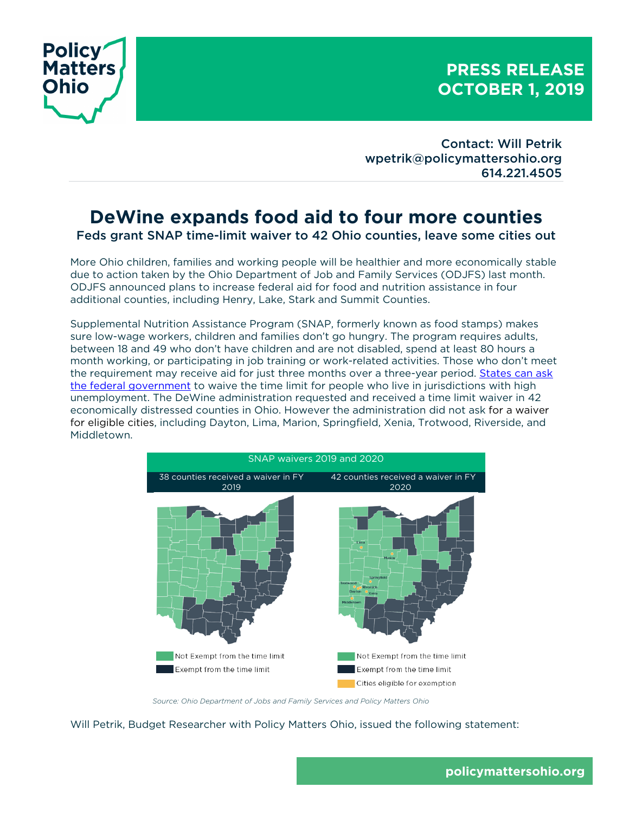

## **PRESS RELEASE OCTOBER 1, 2019**

Contact: Will Petrik wpetrik@policymattersohio.org 614.221.4505

## **DeWine expands food aid to four more counties**  Feds grant SNAP time-limit waiver to 42 Ohio counties, leave some cities out

More Ohio children, families and working people will be healthier and more economically stable due to action taken by the Ohio Department of Job and Family Services (ODJFS) last month. ODJFS announced plans to increase federal aid for food and nutrition assistance in four additional counties, including Henry, Lake, Stark and Summit Counties.

Supplemental Nutrition Assistance Program (SNAP, formerly known as food stamps) makes sure low-wage workers, children and families don't go hungry. The program requires adults, between 18 and 49 who don't have children and are not disabled, spend at least 80 hours a month working, or participating in job training or work-related activities. Those who don't meet the requirement may receive aid for just three months over a three-year period. States can ask the federal government to waive the time limit for people who live in jurisdictions with high unemployment. The DeWine administration requested and received a time limit waiver in 42 economically distressed counties in Ohio. However the administration did not ask for a waiver for eligible cities, including Dayton, Lima, Marion, Springfield, Xenia, Trotwood, Riverside, and Middletown.



*Source: Ohio Department of Jobs and Family Services and Policy Matters Ohio*

Will Petrik, Budget Researcher with Policy Matters Ohio, issued the following statement: